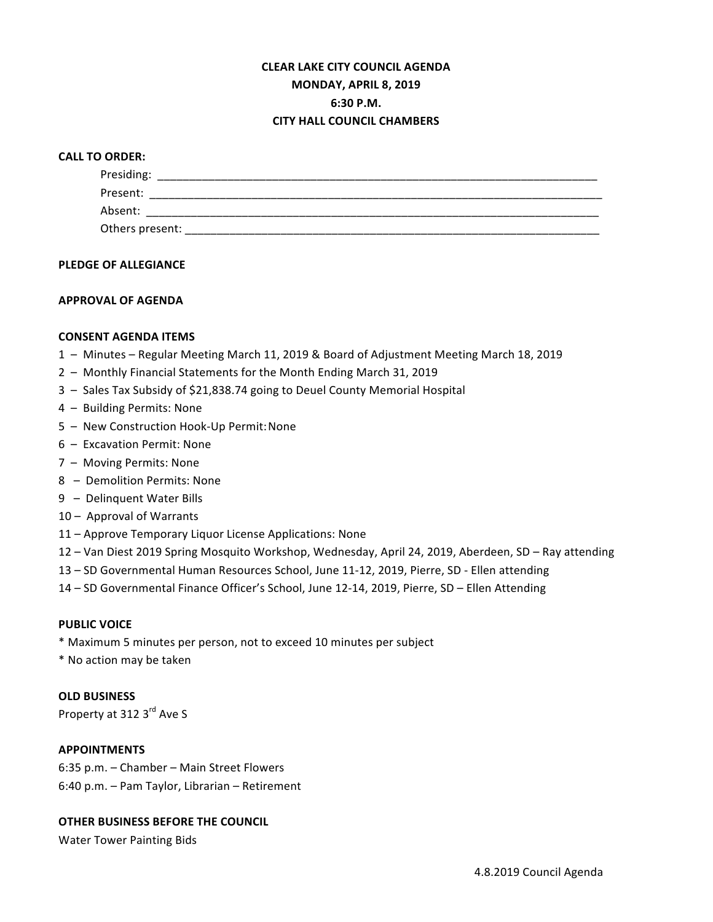# **CLEAR LAKE CITY COUNCIL AGENDA MONDAY, APRIL 8, 2019 6:30 P.M. CITY HALL COUNCIL CHAMBERS**

#### **CALL TO ORDER:**

| Presiding:      |  |  |  |
|-----------------|--|--|--|
| Present:        |  |  |  |
| Absent:         |  |  |  |
| Others present: |  |  |  |

#### **PLEDGE OF ALLEGIANCE**

#### **APPROVAL OF AGENDA**

#### **CONSENT AGENDA ITEMS**

- 1 Minutes Regular Meeting March 11, 2019 & Board of Adjustment Meeting March 18, 2019
- 2 Monthly Financial Statements for the Month Ending March 31, 2019
- 3 Sales Tax Subsidy of \$21,838.74 going to Deuel County Memorial Hospital
- 4 Building Permits: None
- 5 New Construction Hook-Up Permit: None
- 6 Excavation Permit: None
- 7 Moving Permits: None
- 8 Demolition Permits: None
- 9 Delinquent Water Bills
- 10 Approval of Warrants
- 11 Approve Temporary Liquor License Applications: None
- 12 Van Diest 2019 Spring Mosquito Workshop, Wednesday, April 24, 2019, Aberdeen, SD Ray attending
- 13 SD Governmental Human Resources School, June 11-12, 2019, Pierre, SD Ellen attending
- 14 SD Governmental Finance Officer's School, June 12-14, 2019, Pierre, SD Ellen Attending

#### **PUBLIC VOICE**

\* Maximum 5 minutes per person, not to exceed 10 minutes per subject

\* No action may be taken

## **OLD BUSINESS**

Property at 312 3<sup>rd</sup> Ave S

### **APPOINTMENTS**

6:35 p.m. - Chamber - Main Street Flowers 6:40 p.m. - Pam Taylor, Librarian - Retirement

## **OTHER BUSINESS BEFORE THE COUNCIL**

Water Tower Painting Bids